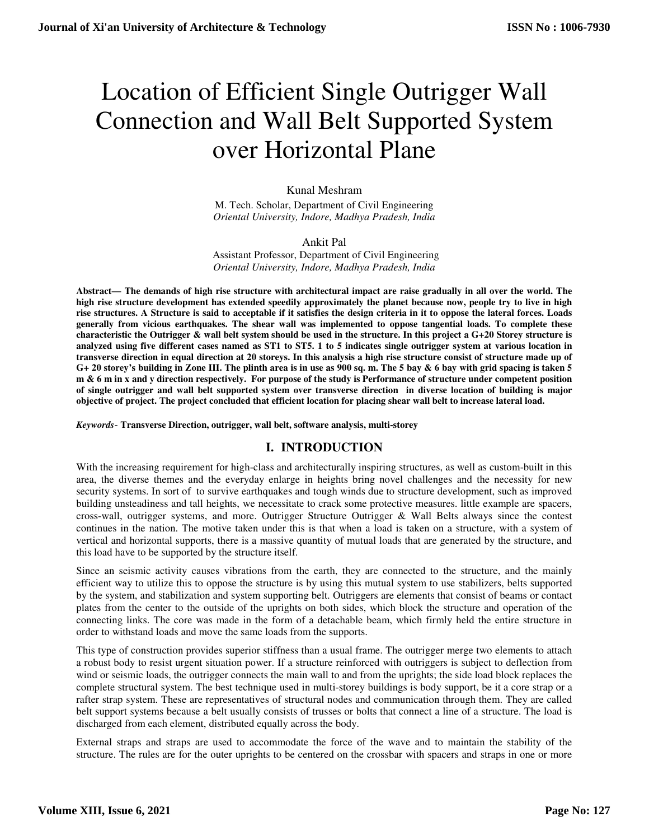# Location of Efficient Single Outrigger Wall Connection and Wall Belt Supported System over Horizontal Plane

### Kunal Meshram

M. Tech. Scholar, Department of Civil Engineering *Oriental University, Indore, Madhya Pradesh, India* 

#### Ankit Pal

Assistant Professor, Department of Civil Engineering *Oriental University, Indore, Madhya Pradesh, India* 

**Abstract— The demands of high rise structure with architectural impact are raise gradually in all over the world. The high rise structure development has extended speedily approximately the planet because now, people try to live in high rise structures. A Structure is said to acceptable if it satisfies the design criteria in it to oppose the lateral forces. Loads generally from vicious earthquakes. The shear wall was implemented to oppose tangential loads. To complete these characteristic the Outrigger & wall belt system should be used in the structure. In this project a G+20 Storey structure is analyzed using five different cases named as ST1 to ST5. 1 to 5 indicates single outrigger system at various location in transverse direction in equal direction at 20 storeys. In this analysis a high rise structure consist of structure made up of G+ 20 storey's building in Zone III. The plinth area is in use as 900 sq. m. The 5 bay & 6 bay with grid spacing is taken 5 m & 6 m in x and y direction respectively. For purpose of the study is Performance of structure under competent position of single outrigger and wall belt supported system over transverse direction in diverse location of building is major objective of project. The project concluded that efficient location for placing shear wall belt to increase lateral load.** 

*Keywords*- **Transverse Direction, outrigger, wall belt, software analysis, multi-storey**

## **I. INTRODUCTION**

With the increasing requirement for high-class and architecturally inspiring structures, as well as custom-built in this area, the diverse themes and the everyday enlarge in heights bring novel challenges and the necessity for new security systems. In sort of to survive earthquakes and tough winds due to structure development, such as improved building unsteadiness and tall heights, we necessitate to crack some protective measures. little example are spacers, cross-wall, outrigger systems, and more. Outrigger Structure Outrigger & Wall Belts always since the contest continues in the nation. The motive taken under this is that when a load is taken on a structure, with a system of vertical and horizontal supports, there is a massive quantity of mutual loads that are generated by the structure, and this load have to be supported by the structure itself.

Since an seismic activity causes vibrations from the earth, they are connected to the structure, and the mainly efficient way to utilize this to oppose the structure is by using this mutual system to use stabilizers, belts supported by the system, and stabilization and system supporting belt. Outriggers are elements that consist of beams or contact plates from the center to the outside of the uprights on both sides, which block the structure and operation of the connecting links. The core was made in the form of a detachable beam, which firmly held the entire structure in order to withstand loads and move the same loads from the supports.

This type of construction provides superior stiffness than a usual frame. The outrigger merge two elements to attach a robust body to resist urgent situation power. If a structure reinforced with outriggers is subject to deflection from wind or seismic loads, the outrigger connects the main wall to and from the uprights; the side load block replaces the complete structural system. The best technique used in multi-storey buildings is body support, be it a core strap or a rafter strap system. These are representatives of structural nodes and communication through them. They are called belt support systems because a belt usually consists of trusses or bolts that connect a line of a structure. The load is discharged from each element, distributed equally across the body.

External straps and straps are used to accommodate the force of the wave and to maintain the stability of the structure. The rules are for the outer uprights to be centered on the crossbar with spacers and straps in one or more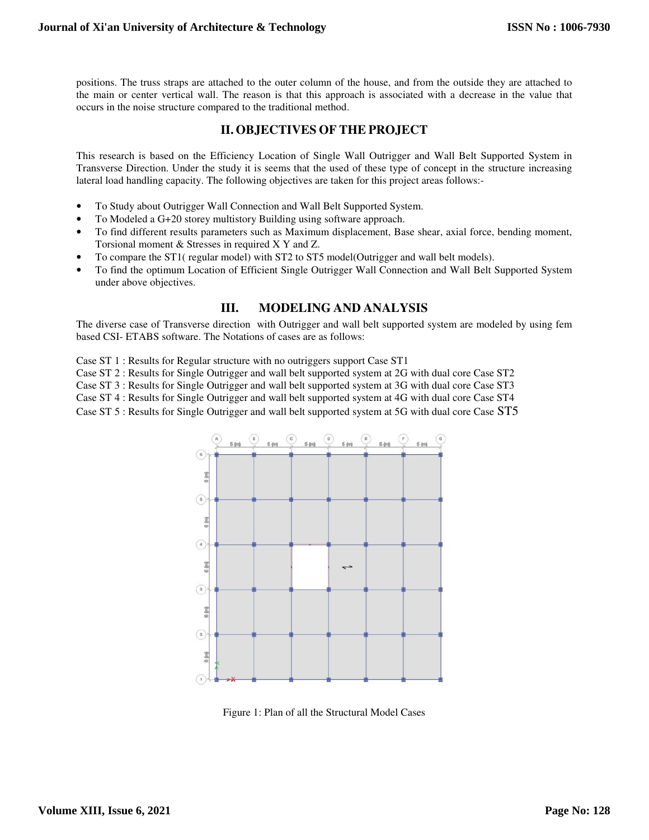positions. The truss straps are attached to the outer column of the house, and from the outside they are attached to the main or center vertical wall. The reason is that this approach is associated with a decrease in the value that occurs in the noise structure compared to the traditional method.

## **II. OBJECTIVES OF THE PROJECT**

This research is based on the Efficiency Location of Single Wall Outrigger and Wall Belt Supported System in Transverse Direction. Under the study it is seems that the used of these type of concept in the structure increasing lateral load handling capacity. The following objectives are taken for this project areas follows:-

- To Study about Outrigger Wall Connection and Wall Belt Supported System.
- To Modeled a G+20 storey multistory Building using software approach.
- To find different results parameters such as Maximum displacement, Base shear, axial force, bending moment, Torsional moment & Stresses in required X Y and Z.
- To compare the ST1( regular model) with ST2 to ST5 model(Outrigger and wall belt models).
- To find the optimum Location of Efficient Single Outrigger Wall Connection and Wall Belt Supported System under above objectives.

## **III. MODELING AND ANALYSIS**

The diverse case of Transverse direction with Outrigger and wall belt supported system are modeled by using fem based CSI- ETABS software. The Notations of cases are as follows:

Case ST 1 : Results for Regular structure with no outriggers support Case ST1

Case ST 2 : Results for Single Outrigger and wall belt supported system at 2G with dual core Case ST2

Case ST 3 : Results for Single Outrigger and wall belt supported system at 3G with dual core Case ST3

Case ST 4 : Results for Single Outrigger and wall belt supported system at 4G with dual core Case ST4

Case ST 5 : Results for Single Outrigger and wall belt supported system at 5G with dual core Case ST5



Figure 1: Plan of all the Structural Model Cases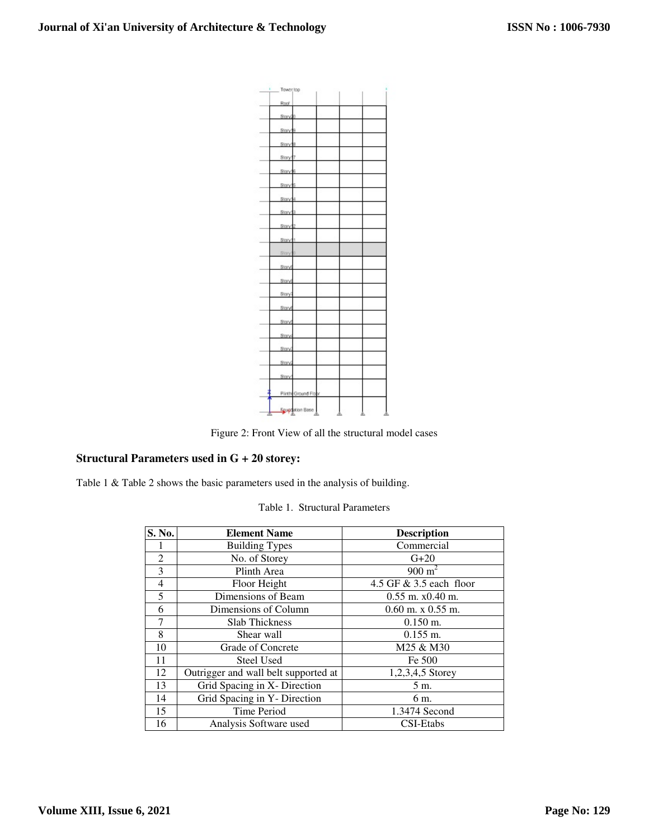

Figure 2: Front View of all the structural model cases

# **Structural Parameters used in G + 20 storey:**

Table 1 & Table 2 shows the basic parameters used in the analysis of building.

#### Table 1. Structural Parameters

| S. No.         | <b>Element Name</b>                  | <b>Description</b>        |
|----------------|--------------------------------------|---------------------------|
|                | <b>Building Types</b>                | Commercial                |
| $\overline{2}$ | No. of Storey                        | $G+20$                    |
| 3              | Plinth Area                          | $900 \text{ m}^2$         |
| 4              | Floor Height                         | 4.5 GF $& 3.5$ each floor |
| 5              | Dimensions of Beam                   | $0.55$ m. $x0.40$ m.      |
| 6              | Dimensions of Column                 | $0.60$ m. x $0.55$ m.     |
| 7              | <b>Slab Thickness</b>                | $0.150$ m.                |
| 8              | Shear wall                           | $0.155$ m.                |
| 10             | Grade of Concrete                    | M25 & M30                 |
| 11             | <b>Steel Used</b>                    | Fe 500                    |
| 12             | Outrigger and wall belt supported at | $1,2,3,4,5$ Storey        |
| 13             | Grid Spacing in X- Direction         | 5 m.                      |
| 14             | Grid Spacing in Y- Direction         | 6 m.                      |
| 15             | <b>Time Period</b>                   | 1.3474 Second             |
| 16             | Analysis Software used               | CSI-Etabs                 |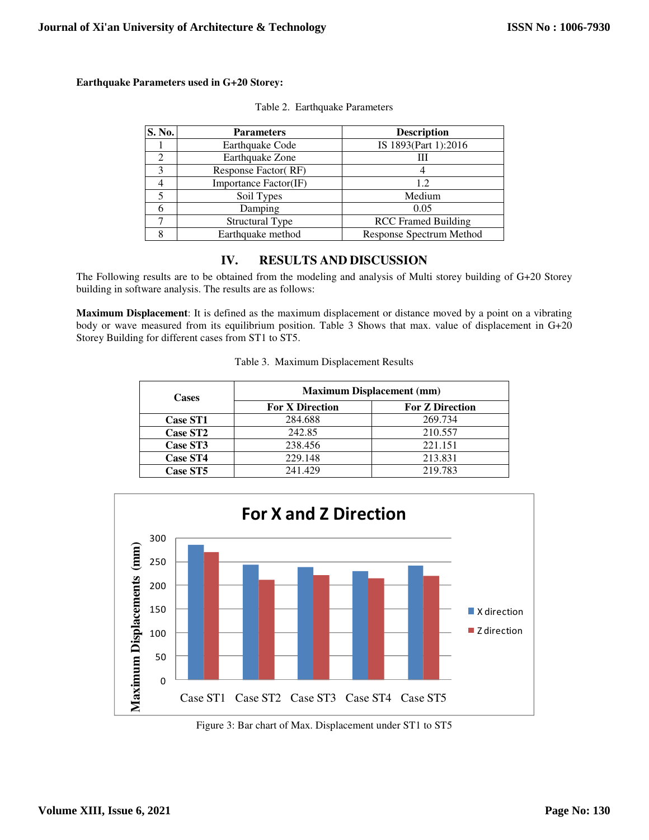#### **Earthquake Parameters used in G+20 Storey:**

| S. No. | <b>Parameters</b>      | <b>Description</b>         |
|--------|------------------------|----------------------------|
|        | Earthquake Code        | IS 1893(Part 1):2016       |
|        | Earthquake Zone        |                            |
|        | Response Factor (RF)   |                            |
|        | Importance Factor(IF)  | 12                         |
|        | Soil Types             | Medium                     |
|        | Damping                | 0.05                       |
|        | <b>Structural Type</b> | <b>RCC</b> Framed Building |
|        | Earthquake method      | Response Spectrum Method   |

# **IV. RESULTS AND DISCUSSION**

The Following results are to be obtained from the modeling and analysis of Multi storey building of G+20 Storey building in software analysis. The results are as follows:

**Maximum Displacement**: It is defined as the maximum displacement or distance moved by a point on a vibrating body or wave measured from its equilibrium position. Table 3 Shows that max. value of displacement in G+20 Storey Building for different cases from ST1 to ST5.

|  |  | Table 3. Maximum Displacement Results |
|--|--|---------------------------------------|
|--|--|---------------------------------------|

| <b>Cases</b>    | <b>Maximum Displacement (mm)</b> |                        |  |
|-----------------|----------------------------------|------------------------|--|
|                 | <b>For X Direction</b>           | <b>For Z Direction</b> |  |
| <b>Case ST1</b> | 284.688                          | 269.734                |  |
| <b>Case ST2</b> | 242.85                           | 210.557                |  |
| Case ST3        | 238.456                          | 221.151                |  |
| <b>Case ST4</b> | 229.148                          | 213.831                |  |
| <b>Case ST5</b> | 241.429                          | 219.783                |  |



Figure 3: Bar chart of Max. Displacement under ST1 to ST5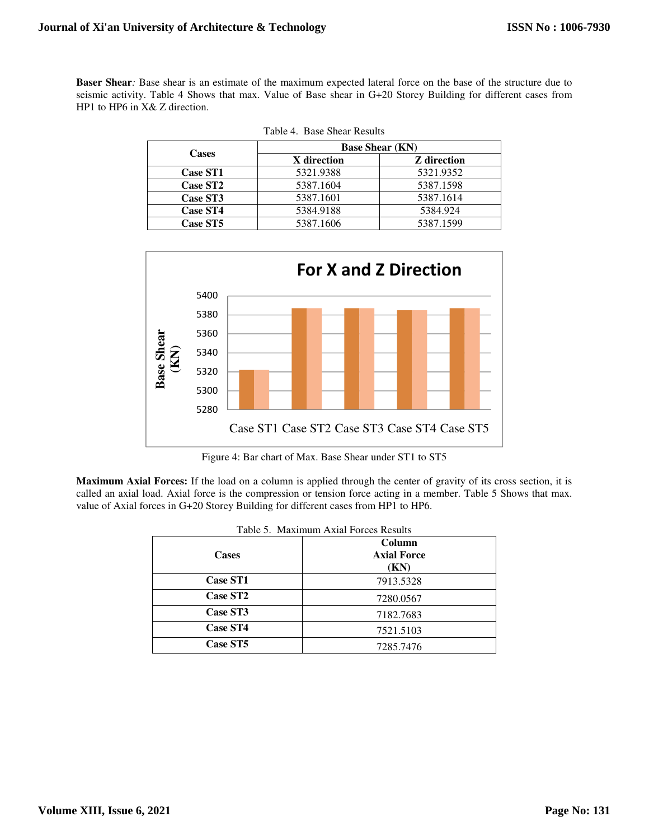**Baser Shear***:* Base shear is an estimate of the maximum expected lateral force on the base of the structure due to seismic activity. Table 4 Shows that max. Value of Base shear in G+20 Storey Building for different cases from HP1 to HP6 in X& Z direction.

| <b>Cases</b>    | <b>Base Shear (KN)</b> |                    |  |
|-----------------|------------------------|--------------------|--|
|                 | X direction            | <b>Z</b> direction |  |
| <b>Case ST1</b> | 5321.9388              | 5321.9352          |  |
| <b>Case ST2</b> | 5387.1604              | 5387.1598          |  |
| Case ST3        | 5387.1601              | 5387.1614          |  |
| <b>Case ST4</b> | 5384.9188              | 5384.924           |  |
| Case ST5        | 5387.1606              | 5387.1599          |  |

|  | Table 4. Base Shear Results |  |  |  |
|--|-----------------------------|--|--|--|
|--|-----------------------------|--|--|--|



Figure 4: Bar chart of Max. Base Shear under ST1 to ST5

**Maximum Axial Forces:** If the load on a column is applied through the center of gravity of its cross section, it is called an axial load. Axial force is the compression or tension force acting in a member. Table 5 Shows that max. value of Axial forces in G+20 Storey Building for different cases from HP1 to HP6.

| Table 5. Maximum Axial Forces Results |                                      |  |
|---------------------------------------|--------------------------------------|--|
| <b>Cases</b>                          | Column<br><b>Axial Force</b><br>(KN) |  |
| <b>Case ST1</b>                       | 7913.5328                            |  |
| Case ST <sub>2</sub>                  | 7280.0567                            |  |
| Case ST3                              | 7182.7683                            |  |
| Case ST4                              | 7521.5103                            |  |
| Case ST5                              | 7285.7476                            |  |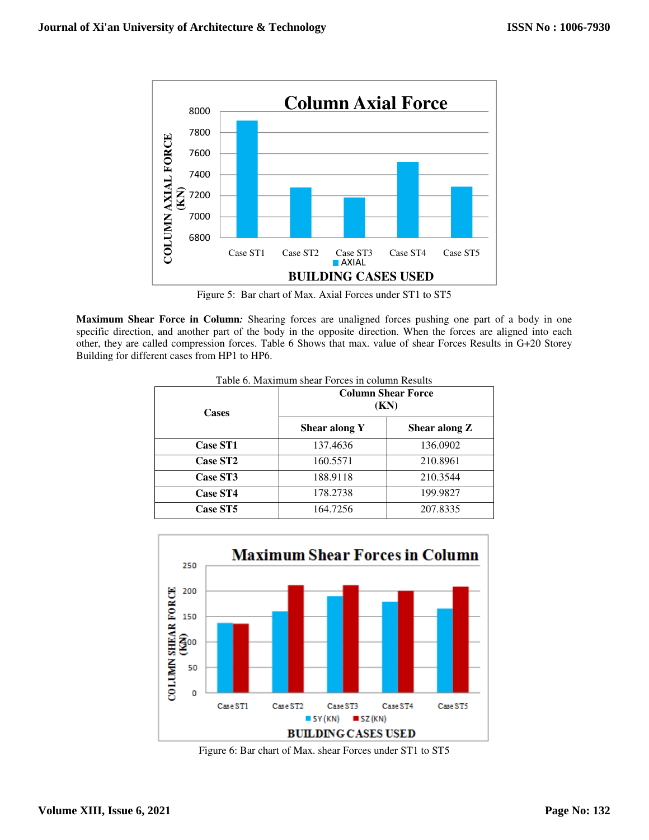

Figure 5: Bar chart of Max. Axial Forces under ST1 to ST5

**Maximum Shear Force in Column***:* Shearing forces are unaligned forces pushing one part of a body in one specific direction, and another part of the body in the opposite direction. When the forces are aligned into each other, they are called compression forces. Table 6 Shows that max. value of shear Forces Results in G+20 Storey Building for different cases from HP1 to HP6.

| <b>Cases</b>    | <b>Column Shear Force</b><br>(KN) |               |
|-----------------|-----------------------------------|---------------|
|                 | Shear along Y                     | Shear along Z |
| <b>Case ST1</b> | 137.4636                          | 136.0902      |
| <b>Case ST2</b> | 160.5571                          | 210.8961      |
| Case ST3        | 188.9118                          | 210.3544      |
| Case ST4        | 178.2738                          | 199.9827      |
| Case ST5        | 164.7256                          | 207.8335      |

Table 6. Maximum shear Forces in column Results



Figure 6: Bar chart of Max. shear Forces under ST1 to ST5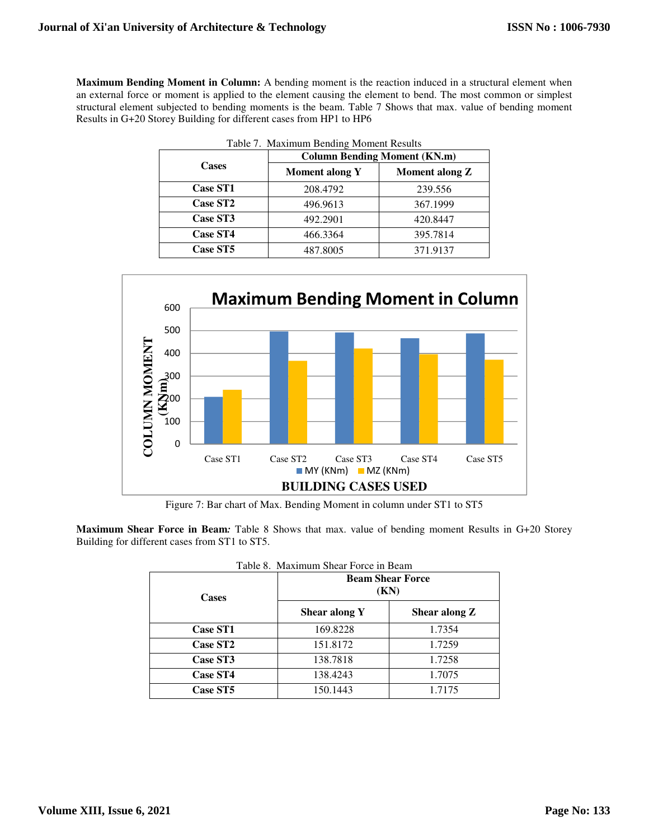**Maximum Bending Moment in Column:** A bending moment is the reaction induced in a structural element when an external force or moment is applied to the element causing the element to bend. The most common or simplest structural element subjected to bending moments is the beam. Table 7 Shows that max. value of bending moment Results in G+20 Storey Building for different cases from HP1 to HP6

|                      | <b>Column Bending Moment (KN.m)</b> |                       |
|----------------------|-------------------------------------|-----------------------|
| <b>Cases</b>         | <b>Moment along Y</b>               | <b>Moment along Z</b> |
| <b>Case ST1</b>      | 208.4792                            | 239.556               |
| Case ST <sub>2</sub> | 496.9613                            | 367.1999              |
| Case ST3             | 492.2901                            | 420.8447              |
| <b>Case ST4</b>      | 466.3364                            | 395.7814              |
| Case ST5             | 487.8005                            | 371.9137              |



Figure 7: Bar chart of Max. Bending Moment in column under ST1 to ST5

**Maximum Shear Force in Beam***:* Table 8 Shows that max. value of bending moment Results in G+20 Storey Building for different cases from ST1 to ST5.

| Table 8. Maximum Shear Force in Beam |                                 |               |  |
|--------------------------------------|---------------------------------|---------------|--|
| <b>Cases</b>                         | <b>Beam Shear Force</b><br>(KN) |               |  |
|                                      | Shear along Y                   | Shear along Z |  |
| <b>Case ST1</b>                      | 169.8228                        | 1.7354        |  |
| <b>Case ST2</b>                      | 151.8172                        | 1.7259        |  |
| <b>Case ST3</b>                      | 138.7818                        | 1.7258        |  |
| <b>Case ST4</b>                      | 138.4243                        | 1.7075        |  |
| <b>Case ST5</b>                      | 150.1443                        | 1.7175        |  |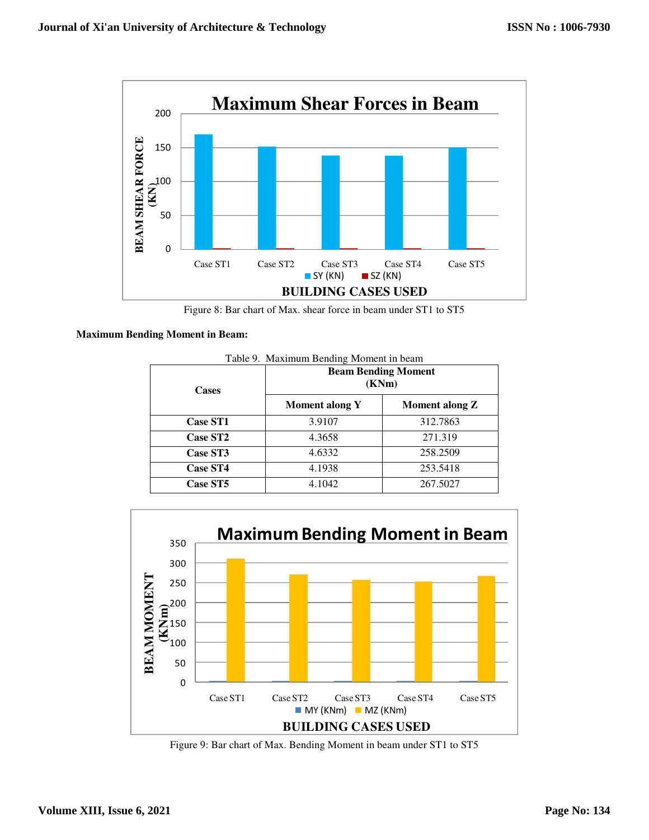



#### **Maximum Bending Moment in Beam:**

| <b>Cases</b>    | <b>Beam Bending Moment</b><br>(KNm) |                |
|-----------------|-------------------------------------|----------------|
|                 | <b>Moment along Y</b>               | Moment along Z |
| <b>Case ST1</b> | 3.9107                              | 312.7863       |
| <b>Case ST2</b> | 4.3658                              | 271.319        |
| Case ST3        | 4.6332                              | 258.2509       |
| <b>Case ST4</b> | 4.1938                              | 253.5418       |
| Case ST5        | 4.1042                              | 267.5027       |



Figure 9: Bar chart of Max. Bending Moment in beam under ST1 to ST5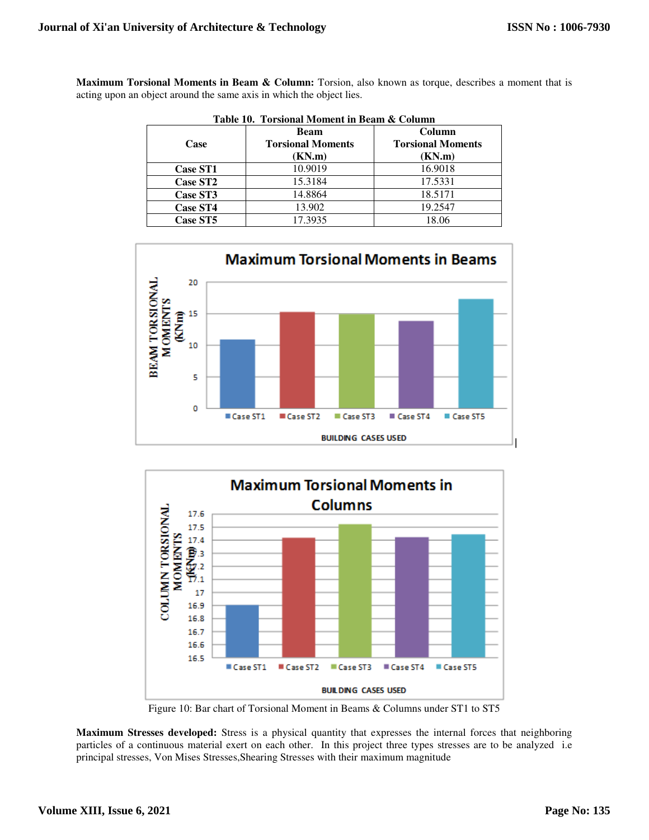**Maximum Torsional Moments in Beam & Column:** Torsion, also known as torque, describes a moment that is acting upon an object around the same axis in which the object lies.

|                 | <b>Beam</b>              | Column                   |  |
|-----------------|--------------------------|--------------------------|--|
| Case            | <b>Torsional Moments</b> | <b>Torsional Moments</b> |  |
|                 | (KN.m)                   | (KN.m)                   |  |
| <b>Case ST1</b> | 10.9019                  | 16.9018                  |  |
| <b>Case ST2</b> | 15.3184                  | 17.5331                  |  |
| Case ST3        | 14.8864                  | 18.5171                  |  |
| <b>Case ST4</b> | 13.902                   | 19.2547                  |  |
| <b>Case ST5</b> | 17.3935                  | 18.06                    |  |







Figure 10: Bar chart of Torsional Moment in Beams & Columns under ST1 to ST5

**Maximum Stresses developed:** Stress is a physical quantity that expresses the internal forces that neighboring particles of a continuous material exert on each other. In this project three types stresses are to be analyzed i.e principal stresses, Von Mises Stresses,Shearing Stresses with their maximum magnitude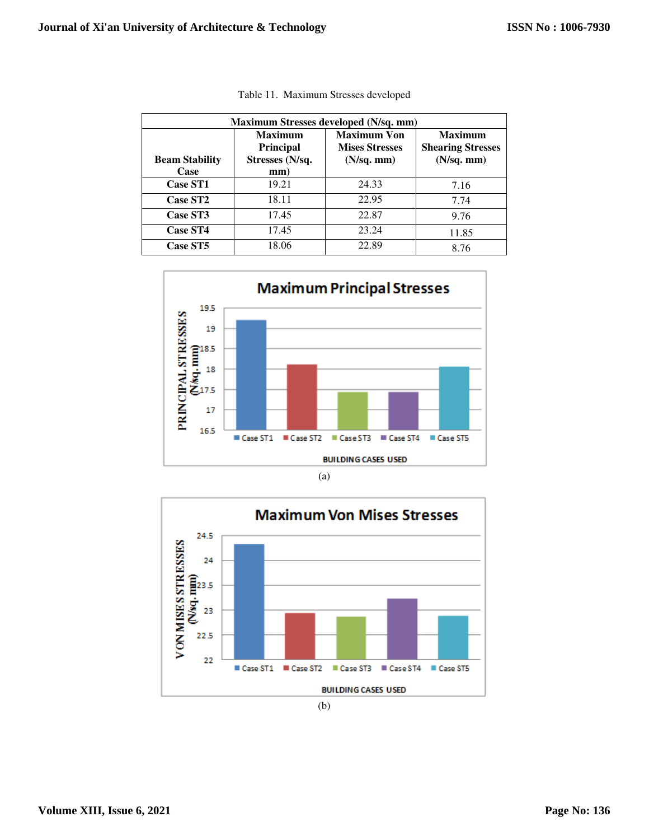| Maximum Stresses developed (N/sq. mm) |                                                              |                                                                   |                                                                   |  |  |
|---------------------------------------|--------------------------------------------------------------|-------------------------------------------------------------------|-------------------------------------------------------------------|--|--|
| <b>Beam Stability</b><br>Case         | <b>Maximum</b><br><b>Principal</b><br>Stresses (N/sq.<br>mm) | <b>Maximum Von</b><br><b>Mises Stresses</b><br>$(N\sqrt{sq. mm})$ | <b>Maximum</b><br><b>Shearing Stresses</b><br>$(N\text{/sq. mm})$ |  |  |
| <b>Case ST1</b>                       | 19.21                                                        | 24.33                                                             | 7.16                                                              |  |  |
| <b>Case ST2</b>                       | 18.11                                                        | 22.95                                                             | 7.74                                                              |  |  |
| <b>Case ST3</b>                       | 17.45                                                        | 22.87                                                             | 9.76                                                              |  |  |
| <b>Case ST4</b>                       | 17.45                                                        | 23.24                                                             | 11.85                                                             |  |  |
| Case ST5                              | 18.06                                                        | 22.89                                                             | 8.76                                                              |  |  |

|  | Table 11. Maximum Stresses developed |  |  |
|--|--------------------------------------|--|--|
|--|--------------------------------------|--|--|





(b)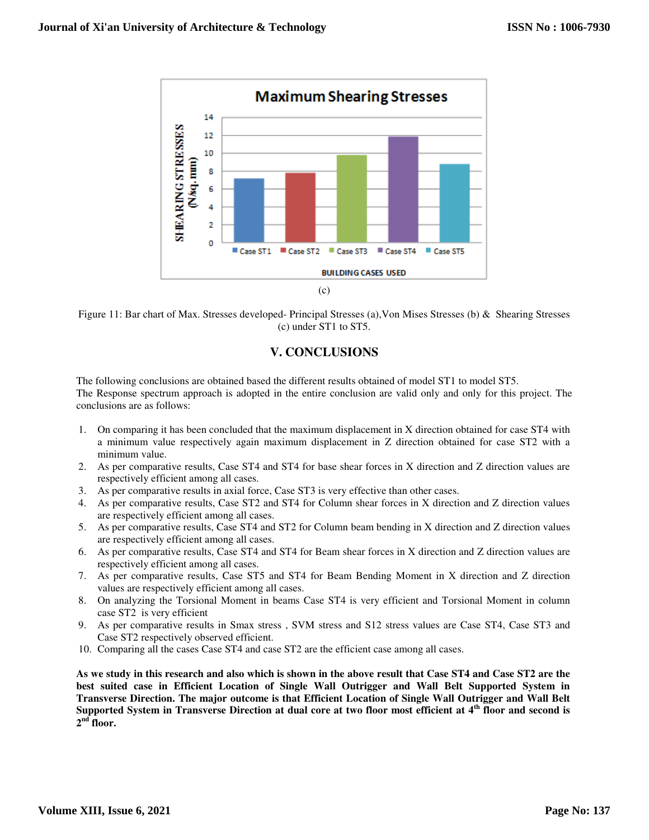



## **V. CONCLUSIONS**

The following conclusions are obtained based the different results obtained of model ST1 to model ST5. The Response spectrum approach is adopted in the entire conclusion are valid only and only for this project. The conclusions are as follows:

- 1. On comparing it has been concluded that the maximum displacement in X direction obtained for case ST4 with a minimum value respectively again maximum displacement in Z direction obtained for case ST2 with a minimum value.
- 2. As per comparative results, Case ST4 and ST4 for base shear forces in X direction and Z direction values are respectively efficient among all cases.
- 3. As per comparative results in axial force, Case ST3 is very effective than other cases.
- 4. As per comparative results, Case ST2 and ST4 for Column shear forces in X direction and Z direction values are respectively efficient among all cases.
- 5. As per comparative results, Case ST4 and ST2 for Column beam bending in X direction and Z direction values are respectively efficient among all cases.
- 6. As per comparative results, Case ST4 and ST4 for Beam shear forces in X direction and Z direction values are respectively efficient among all cases.
- 7. As per comparative results, Case ST5 and ST4 for Beam Bending Moment in X direction and Z direction values are respectively efficient among all cases.
- 8. On analyzing the Torsional Moment in beams Case ST4 is very efficient and Torsional Moment in column case ST2 is very efficient
- 9. As per comparative results in Smax stress , SVM stress and S12 stress values are Case ST4, Case ST3 and Case ST2 respectively observed efficient.
- 10. Comparing all the cases Case ST4 and case ST2 are the efficient case among all cases.

**As we study in this research and also which is shown in the above result that Case ST4 and Case ST2 are the best suited case in Efficient Location of Single Wall Outrigger and Wall Belt Supported System in Transverse Direction. The major outcome is that Efficient Location of Single Wall Outrigger and Wall Belt Supported System in Transverse Direction at dual core at two floor most efficient at 4th floor and second is**   $2<sup>nd</sup>$  floor.